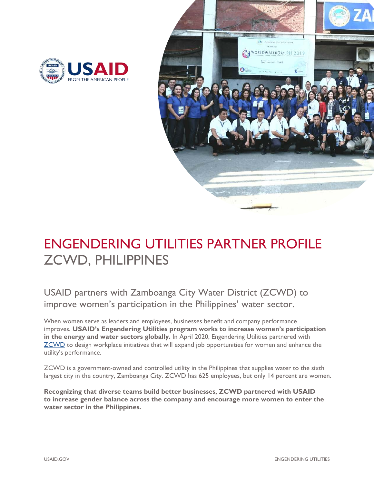



# ENGENDERING UTILITIES PARTNER PROFILE ZCWD, PHILIPPINES

USAID partners with Zamboanga City Water District (ZCWD) to improve women's participation in the Philippines' water sector.

When women serve as leaders and employees, businesses benefit and company performance improves. **USAID's Engendering Utilities program works to increase women's participation in the energy and water sectors globally.** In April 2020, Engendering Utilities partnered with [ZCWD](http://zcwd.gov.ph/) to design workplace initiatives that will expand job opportunities for women and enhance the utility's performance.

ZCWD is a government-owned and controlled utility in the Philippines that supplies water to the sixth largest city in the country, Zamboanga City. ZCWD has 625 employees, but only 14 percent are women.

**Recognizing that diverse teams build better businesses, ZCWD partnered with USAID to increase gender balance across the company and encourage more women to enter the water sector in the Philippines.**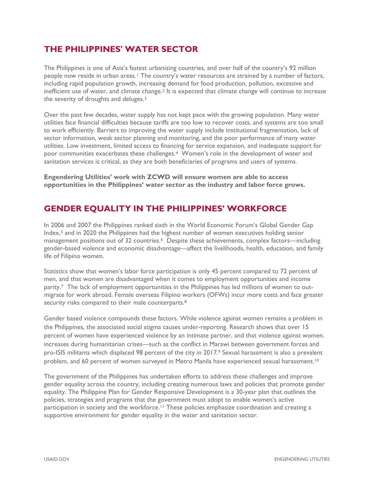### **THE PHILIPPINES' WATER SECTOR**

The Philippines is one of Asia's fastest urbanizing countries, and over half of the country's 92 million people now reside in urban areas.<sup>[1](#page-3-0)</sup> The country's water resources are strained by a number of factors, including rapid population growth, increasing demand for food production, pollution, excessive and inefficient use of water, and climate change.<sup>[2](#page-3-1)</sup> It is expected that climate change will continue to increase the severity of droughts and deluges.[3](#page-3-2)

Over the past few decades, water supply has not kept pace with the growing population. Many water utilities face financial difficulties because tariffs are too low to recover costs, and systems are too small to work efficiently. Barriers to improving the water supply include institutional fragmentation, lack of sector information, weak sector planning and monitoring, and the poor performance of many water utilities. Low investment, limited access to financing for service expansion, and inadequate support for poor communities exacerbates these challenges.[4](#page-3-3) Women's role in the development of water and sanitation services is critical, as they are both beneficiaries of programs and users of systems.

**Engendering Utilities' work with ZCWD will ensure women are able to access opportunities in the Philippines' water sector as the industry and labor force grows.**

#### **GENDER EQUALITY IN THE PHILIPPINES' WORKFORCE**

In 2006 and 2007 the Philippines ranked sixth in the World Economic Forum's Global Gender Gap Index,[5](#page-3-4) and in 2020 the Philippines had the highest number of women executives holding senior management positions out of 32 countries.<sup>6</sup> Despite these achievements, complex factors—including gender-based violence and economic disadvantage—affect the livelihoods, health, education, and family life of Filipino women.

Statistics show that women's labor force participation is only 45 percent compared to 72 percent of men, and that women are disadvantaged when it comes to employment opportunities and income parity.[7](#page-3-6) The lack of employment opportunities in the Philippines has led millions of women to outmigrate for work abroad. Female overseas Filipino workers (OFWs) incur more costs and face greater security risks compared to their male counterparts.<sup>[8](#page-3-7)</sup>

Gender based violence compounds these factors. While violence against women remains a problem in the Philippines, the associated social stigma causes under-reporting. Research shows that over 15 percent of women have experienced violence by an intimate partner, and that violence against women. increases during humanitarian crises—such as the conflict in Marawi between government forces and pro-ISIS militants which displaced 98 percent of the city in 2017. [9](#page-3-8) Sexual harassment is also a prevalent problem, and 60 percent of women surveyed in Metro Manila have experienced sexual harassment.<sup>[10](#page-3-9)</sup>

The government of the Philippines has undertaken efforts to address these challenges and improve gender equality across the country, including creating numerous laws and policies that promote gender equality. The Philippine Plan for Gender Responsive Development is a 30-year plan that outlines the policies, strategies and programs that the government must adopt to enable women's active participation in society and the workforce.[11](#page-3-10) These policies emphasize coordination and creating a supportive environment for gender equality in the water and sanitation sector.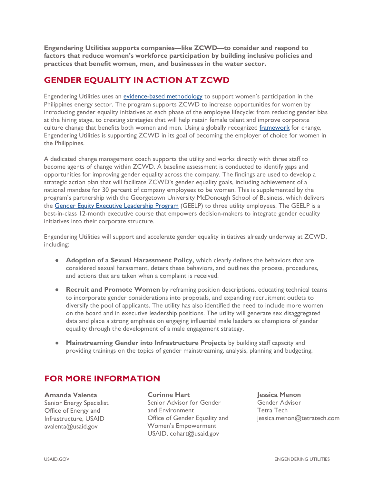**Engendering Utilities supports companies—like ZCWD—to consider and respond to factors that reduce women's workforce participation by building inclusive policies and practices that benefit women, men, and businesses in the water sector.**

## **GENDER EQUALITY IN ACTION AT ZCWD**

Engendering Utilities uses an [evidence-based methodology](https://www.usaid.gov/energy/engendering-utilities/gender-equality-best-practices-framework) to support women's participation in the Philippines energy sector. The program supports ZCWD to increase opportunities for women by introducing gender equality initiatives at each phase of the employee lifecycle: from reducing gender bias at the hiring stage, to creating strategies that will help retain female talent and improve corporate culture change that benefits both women and men. Using a globally recognized [framework](https://www.usaid.gov/energy/engendering-utilities/gender-equality-best-practices-framework) for change, Engendering Utilities is supporting ZCWD in its goal of becoming the employer of choice for women in the Philippines.

A dedicated change management coach supports the utility and works directly with three staff to become agents of change within ZCWD. A baseline assessment is conducted to identify gaps and opportunities for improving gender equality across the company. The findings are used to develop a strategic action plan that will facilitate ZCWD's gender equality goals, including achievement of a national mandate for 30 percent of company employees to be women. This is supplemented by the program's partnership with the Georgetown University McDonough School of Business, which delivers the [Gender Equity Executive Leadership Program](https://www.usaid.gov/energy/engendering-utilities/leadership-program) (GEELP) to three utility employees. The GEELP is a best-in-class 12-month executive course that empowers decision-makers to integrate gender equality initiatives into their corporate structure.

Engendering Utilities will support and accelerate gender equality initiatives already underway at ZCWD, including:

- **Adoption of a Sexual Harassment Policy,** which clearly defines the behaviors that are considered sexual harassment, deters these behaviors, and outlines the process, procedures, and actions that are taken when a complaint is received.
- **Recruit and Promote Women** by reframing position descriptions, educating technical teams to incorporate gender considerations into proposals, and expanding recruitment outlets to diversify the pool of applicants. The utility has also identified the need to include more women on the board and in executive leadership positions. The utility will generate sex disaggregated data and place a strong emphasis on engaging influential male leaders as champions of gender equality through the development of a male engagement strategy.
- **Mainstreaming Gender into Infrastructure Projects** by building staff capacity and providing trainings on the topics of gender mainstreaming, analysis, planning and budgeting.

#### **FOR MORE INFORMATION**

**Amanda Valenta** Senior Energy Specialist Office of Energy and Infrastructure, USAID [avalenta@usaid.gov](mailto:avalenta@usaid.gov) 

**Corinne Hart** Senior Advisor for Gender and Environment Office of Gender Equality and Women's Empowerment [USAID](mailto:cohart@usaid.gov), cohart@usaid.gov

**Jessica Menon** Gender Advisor Tetra Tech jessica.menon@tetratech.com